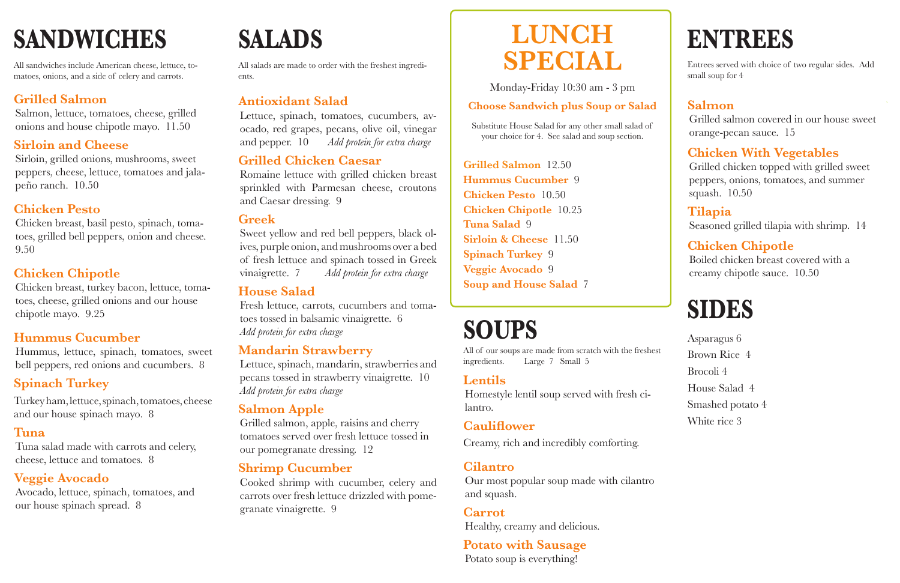## **LUNCH SPECIAL**

Substitute House Salad for any other small salad of your choice for 4. See salad and soup section.

### **Choose Sandwich plus Soup or Salad**

**Grilled Salmon** 12.50 **Hummus Cucumber** 9 **Chicken Pesto** 10.50 **Chicken Chipotle** 10.25 **Tuna Salad** 9 **Sirloin & Cheese** 11.50 **Spinach Turkey** 9 **Veggie Avocado** 9 **Soup and House Salad** 7

# **ENTREES**

Entrees served with choice of two regular sides. Add small soup for 4

### **Salmon**

Grilled salmon covered in our house sweet orange-pecan sauce. 15

### **Chicken With Vegetables**

Grilled chicken topped with grilled sweet peppers, onions, tomatoes, and summer squash. 10.50

### **Tilapia**

Seasoned grilled tilapia with shrimp. 14

### **Chicken Chipotle**

Boiled chicken breast covered with a creamy chipotle sauce. 10.50

Asparagus 6 Brown Rice 4 Brocoli 4 House Salad 4 Smashed potato 4 White rice 3

All sandwiches include American cheese, lettuce, tomatoes, onions, and a side of celery and carrots.

### **Grilled Salmon**

Salmon, lettuce, tomatoes, cheese, grilled onions and house chipotle mayo. 11.50

### **Sirloin and Cheese**

Sirloin, grilled onions, mushrooms, sweet peppers, cheese, lettuce, tomatoes and jalapeño ranch. 10.50

### **Chicken Pesto**

Chicken breast, basil pesto, spinach, tomatoes, grilled bell peppers, onion and cheese. 9.50

### **Chicken Chipotle**

Chicken breast, turkey bacon, lettuce, tomatoes, cheese, grilled onions and our house chipotle mayo. 9.25

### **Hummus Cucumber**

Hummus, lettuce, spinach, tomatoes, sweet bell peppers, red onions and cucumbers. 8

### **Spinach Turkey**

Turkey ham, lettuce, spinach, tomatoes, cheese and our house spinach mayo. 8

### **Tuna**

Tuna salad made with carrots and celery, cheese, lettuce and tomatoes. 8

### **Veggie Avocado**

Avocado, lettuce, spinach, tomatoes, and our house spinach spread. 8

All salads are made to order with the freshest ingredients.

### **Antioxidant Salad**

Lettuce, spinach, tomatoes, cucumbers, avocado, red grapes, pecans, olive oil, vinegar and pepper. 10 *Add protein for extra charge*

### **Grilled Chicken Caesar**

Romaine lettuce with grilled chicken breast sprinkled with Parmesan cheese, croutons and Caesar dressing. 9

### **Greek**

Sweet yellow and red bell peppers, black olives, purple onion, and mushrooms over a bed of fresh lettuce and spinach tossed in Greek vinaigrette. 7 *Add protein for extra charge*

### **House Salad**

Fresh lettuce, carrots, cucumbers and tomatoes tossed in balsamic vinaigrette. 6 *Add protein for extra charge*

### **Mandarin Strawberry**

Lettuce, spinach, mandarin, strawberries and pecans tossed in strawberry vinaigrette. 10 *Add protein for extra charge*

### **Salmon Apple**

Grilled salmon, apple, raisins and cherry tomatoes served over fresh lettuce tossed in our pomegranate dressing. 12

### **Shrimp Cucumber**

Cooked shrimp with cucumber, celery and carrots over fresh lettuce drizzled with pomegranate vinaigrette. 9

### **Lentils**

Homestyle lentil soup served with fresh cilantro.

### **Cauliflower**

Creamy, rich and incredibly comforting.

### **Cilantro**

Our most popular soup made with cilantro and squash.

**Carrot**  Healthy, creamy and delicious.

### **Potato with Sausage** Potato soup is everything!

### **SIDES**

# **SANDWICHES SALADS**

# **SOUPS**

All of our soups are made from scratch with the freshest ingredients. Large 7 Small 5

Monday-Friday 10:30 am - 3 pm